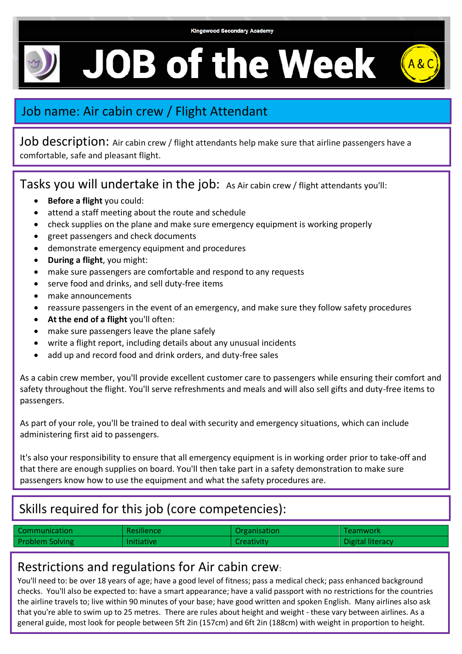**JOB of the Week** 



## Job name: Air cabin crew / Flight Attendant

Job description: Air cabin crew / flight attendants help make sure that airline passengers have a comfortable, safe and pleasant flight.

Tasks you will undertake in the job: As Air cabin crew / flight attendants you'll:

- **Before a flight** you could:
- attend a staff meeting about the route and schedule
- check supplies on the plane and make sure emergency equipment is working properly
- greet passengers and check documents
- demonstrate emergency equipment and procedures
- **During a flight**, you might:
- make sure passengers are comfortable and respond to any requests
- serve food and drinks, and sell duty-free items
- make announcements
- reassure passengers in the event of an emergency, and make sure they follow safety procedures
- **At the end of a flight** you'll often:
- make sure passengers leave the plane safely
- write a flight report, including details about any unusual incidents
- add up and record food and drink orders, and duty-free sales

As a cabin crew member, you'll provide excellent customer care to passengers while ensuring their comfort and safety throughout the flight. You'll serve refreshments and meals and will also sell gifts and duty-free items to passengers.

As part of your role, you'll be trained to deal with security and emergency situations, which can include administering first aid to passengers.

It's also your responsibility to ensure that all emergency equipment is in working order prior to take-off and that there are enough supplies on board. You'll then take part in a safety demonstration to make sure passengers know how to use the equipment and what the safety procedures are.

## Skills required for this job (core competencies):

| Communication          | <b>Resilience</b> | Organisation      | <b>Teamwork</b>  |
|------------------------|-------------------|-------------------|------------------|
| <b>Problem Solving</b> | <b>Initiative</b> | <b>Creativity</b> | Digital literacy |

## Restrictions and regulations for Air cabin crew:

You'll need to: be over 18 years of age; have a good level of fitness; pass a medical check; pass enhanced background checks. You'll also be expected to: have a smart appearance; have a valid passport with no restrictions for the countries the airline travels to; live within 90 minutes of your base; have good written and spoken English. Many airlines also ask that you're able to swim up to 25 metres. There are rules about height and weight - these vary between airlines. As a general guide, most look for people between 5ft 2in (157cm) and 6ft 2in (188cm) with weight in proportion to height.